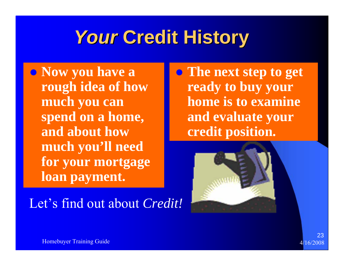## **Your Credit History**

**• Now you have a rough idea of how much you can spend on a home, and about how much you'll need for your mortgage loan payment.**

Let's find out about *Credit!*

**• The next step to get ready to buy your home is to examine and evaluate your credit position.**

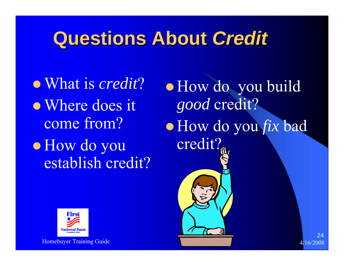### **Questions About Questions About** *Credit*

<sup>z</sup>What is *credit*? • Where does it come from?  $\bullet$  How do you establish credit?

 $\bullet$  How do you build *good* credit? z How do you *fix* bad credit?

24



Homebuyer Training Guide 4/16/2008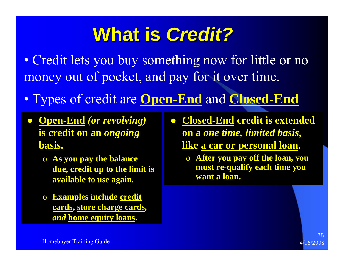### **What is Credit?**

• Credit lets you buy something now for little or no money out of pocket, and pay for it over time.

- Types of credit are **Open-End** and **Closed-End**
- z **Open-End** *(or revolving)* **is credit on an** *ongoing* **basis.**
	- o **As you pay the balance due, credit up to the limit is available to use again.**
	- o **Examples include credit cards, store charge cards***, and* **home equity loans.**
- z **Closed-End credit is extended on a** *one time, limited basis***, like a car or personal loan.**
	- o **After you pay off the loan, you must re-qualify each time you want a loan.**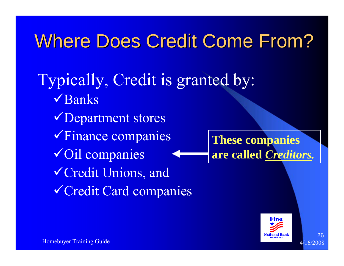### Where Does Credit Come From?

Typically, Credit is granted by:  $\sqrt{\text{Banks}}$ **VDepartment stores** V Finance companies  $\sqrt{\text{Oil} \text{ companies}}$ <sup>9</sup>Credit Unions, and <sup>9</sup>Credit Card companies **These companies are called** *Creditors.*

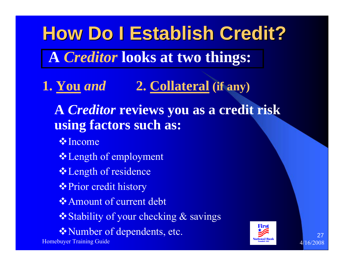**How Do I Establish Credit? How Do I Establish Credit? A** *Creditor* **looks at two things:** 

**1. You** *and* **2. Collateral (if any)**

**A** *Creditor* **reviews you as a credit risk using factors such as:**

**V**Income

- **❖ Length of employment**
- **❖ Length of residence**
- **❖ Prior credit history**
- **❖ Amount of current debt**
- **❖ Stability of your checking & savings**
- **\*Number of dependents, etc.**

Homebuyer Training Guide 4/16/2008

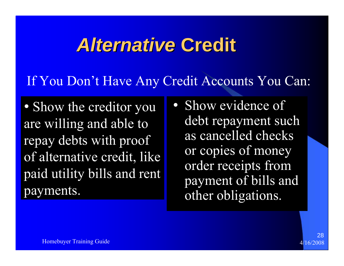### *Alternative Alternative* **Credit**

### If You Don't Have Any Credit Accounts You Can:

• Show the creditor you are willing and able to repay debts with proof of alternative credit, like paid utility bills and rent payments.

• Show evidence of debt repayment such as cancelled checks or copies of money order receipts from payment of bills and other obligations.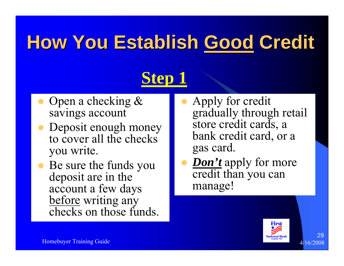# **How You Establish Good Credit**

### **Step 1**

- $\bullet$  Open a checking & savings account
- $\bullet$  Deposit enough money to cover all the checks you write.
- $\bullet$  Be sure the funds you deposit are in the account a few days before writing any checks on those funds.
- $\bullet$  Apply for credit gradually through retail store credit cards, a bank credit card, or a gas card.
- $\bullet$ *Don't* apply for more credit than you can manage!

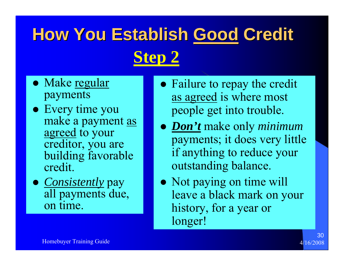## **How You Establish Good Credit Step 2**

- Make <u>regular</u> payments
- Every time you make a payment as agreed to your creditor, you are building favorable credit.
- *Consistently* pay all payments due, on time.
- Failure to repay the credit as agreed is where most people get into trouble.
- z *Don't* make only *minimum* payments; it does very little if anything to reduce your outstanding balance.
- Not paying on time will leave a black mark on your history, for a year or longer!

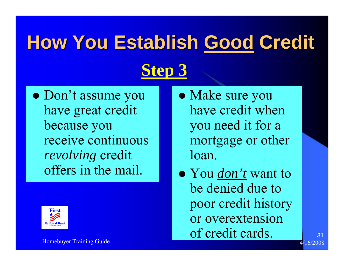# **How You Establish Good Credit Step 3**

• Don't assume you have great credit because you receive continuous *revolving* credit offers in the mail.



- Make sure you have credit when you need it for a mortgage or other loan.
- You *don't* want to be denied due to poor credit history or overextension of credit cards.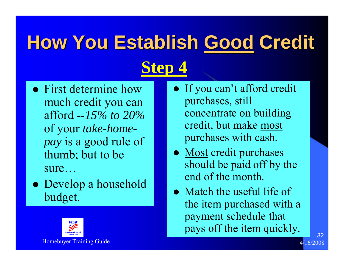# **How You Establish Good Credit Step 4**

- First determine how much credit you can afford --*15% to 20%*of your *take-homepay* is a good rule of thumb; but to be sure…
- Develop a household budget.
	-
- If you can't afford credit purchases, still concentrate on building credit, but make most purchases with cash.
- Most credit purchases should be paid off by the end of the month.
- $\bullet$  Match the useful life of the item purchased with a payment schedule that pays off the item quickly.

Homebuyer Training Guide **4/16/2008** and the state of the state of the state of the state  $4/16/2008$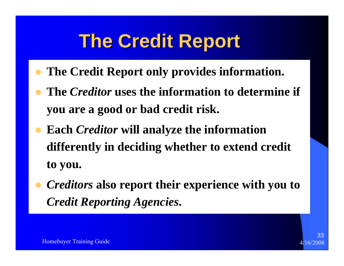## **The Credit Report The Credit Report**

- $\bullet$ **The Credit Report only provides information.**
- $\bullet$  **The** *Creditor* **uses the information to determine if you are a good or bad credit risk.**
- $\bullet$  **Each** *Creditor* **will analyze the information differently in deciding whether to extend credit to you.**
- $\bullet$  *Creditors* **also report their experience with you to**  *Credit Reporting Agencies***.**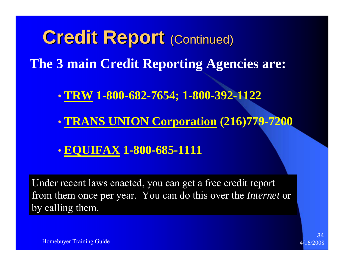**Credit Report (Continued) The 3 main Credit Reporting Agencies are: TRW 1-800-682-7654; 1-800-392-1122**

- $\bullet$ **TRANS UNION Corporation (216)779-7200**
- $\bullet$ **EQUIFAX 1-800-685-1111**

Under recent laws enacted, you can get a free credit report from them once per year. You can do this over the *Internet* or by calling them.



Homebuyer Training Guide

 $\bullet$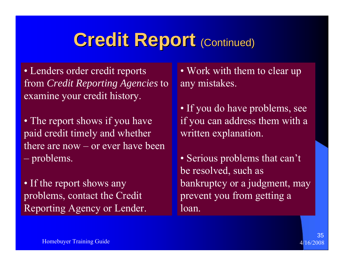### **Credit Report (Continued)**

• Lenders order credit reports from *Credit Reporting Agencies* to examine your credit history.

• The report shows if you have paid credit timely and whether there are now – or ever have been  $\sim$ problems.

• If the report shows any problems, contact the Credit Reporting Agency or Lender.

• Work with them to clear up any mistakes.

• If you do have problems, see if you can address them with a written explanation.

• Serious problems that can't be resolved, such as bankruptcy or a judgment, may prevent you from getting a loan.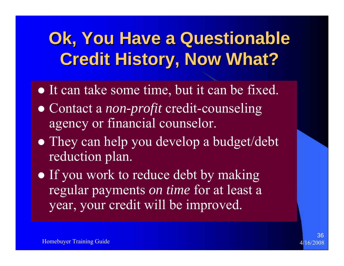### **Ok, You Have a Questionable Credit History, Now What? Credit History, Now What?**

- It can take some time, but it can be fixed.
- Contact a *non-profit* credit-counseling agency or financial counselor.
- They can help you develop a budget/debt reduction plan.
- If you work to reduce debt by making regular payments *on time* for at least a year, your credit will be improved.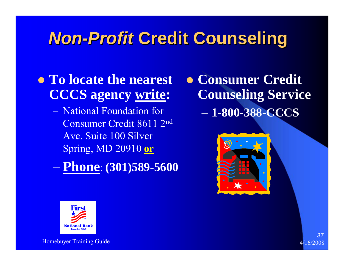### **Mon-Profit Credit Counseling**

### **• To locate the nearest CCCS agency write:**

- National Foundation for Consumer Credit 8611 2nd Ave. Suite 100 Silver Spring, MD 20910 **or**
- **Phone**: **(301)589-5600**

 $\bullet$  **Consumer Credit Counseling Service** – **1-800-388-CCCS**





Homebuyer Training Guide 4/16/2008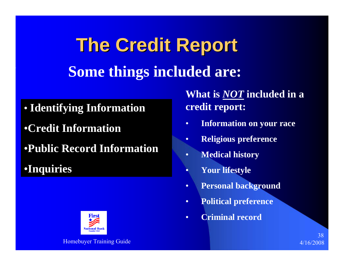**The Credit Report The Credit Report Some things included are:**

- **Identifying Information**
- •**Credit Information**
- •**Public Record Information**
- •**Inquiries**



**What is** *NOT* **included in a credit report:** 

- •**Information on your race**
- •**Religious preference**
- •**Medical history**
- •**Your lifestyle**
- •**Personal background**
- •**Political preference**
- •**Criminal record**

38

Homebuyer Training Guide 4/16/2008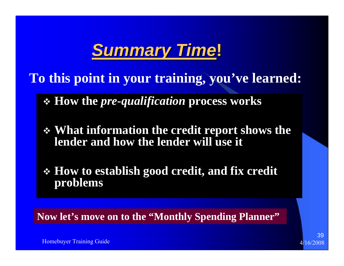### *Summary Time Summary Time***!**

**To this point in your training, you've learned:**

**How the** *pre-qualification* **process works**

 **What information the credit report shows the lender and how the lender will use it**

 **How to establish good credit, and fix credit problems**

**Now let's move on to the "Monthly Spending Planner"**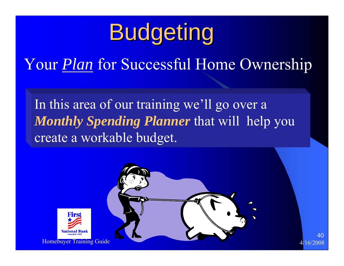# Budgeting

Your *Plan* for Successful Home Ownership

In this area of our training we'll go over a *Monthly Spending Planner* that will help you create a workable budget.

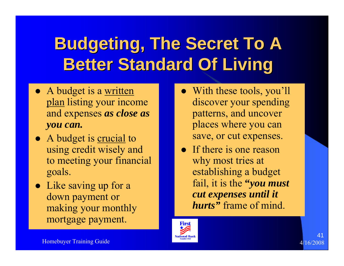### **Budgeting, The Secret To A Better Standard Of Living**

- A budget is a <u>written</u> plan listing your income and expenses *as close as you can.*
- A budget is <u>crucial</u> to using credit wisely and to meeting your financial goals.
- $\bullet$  Like saving up for a down payment or making your monthly mortgage payment.
- With these tools, you'll discover your spending patterns, and uncover places where you can save, or cut expenses.
- $\bullet$  If there is one reason why most tries at establishing a budget fail, it is the **"***you must cut expenses until it hurts"* frame of mind.

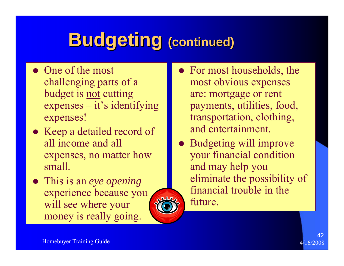# **Budgeting (continued)**

- $\bullet$  One of the most challenging parts of a budget is not cutting expenses – it's identifying expenses!
- Keep a detailed record of all income and all expenses, no matter how small.
- z This is an *eye opening* experience because you will see where your money is really going.



• Budgeting will improve your financial condition and may help you eliminate the possibility of financial trouble in the future.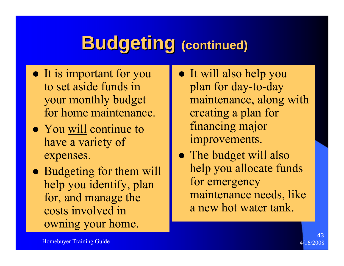## **Budgeting Budgeting (continued) (continued)**

- It is important for you to set aside funds in your monthly budget for home maintenance.
- You will continue to have a variety of expenses.
- Budgeting for them will help you identify, plan for, and manage the costs involved in owning your home.
- It will also help you plan for day-to-day maintenance, along with creating a plan for financing major improvements.
- The budget will also help you allocate funds for emergency maintenance needs, like a new hot water tank.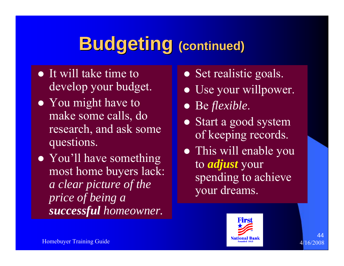# **Budgeting Budgeting (continued) (continued)**

- $\bullet$  It will take time to develop your budget.
- You might have to make some calls, do research, and ask some questions.
- You'll have something most home buyers lack: *a clear picture of the price of being a successful homeowner.*
- Set realistic goals.
- Use your willpower.
- z Be *flexible*.
- Start a good system of keeping records.
- This will enable you to *adjust* your spending to achieve your dreams.

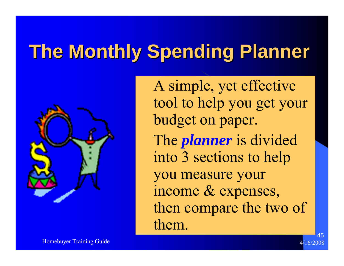# **The Monthly Spending Planner The Monthly Spending Planner**



 A simple, yet effective tool to help you get your budget on paper. The *planner* is divided into 3 sections to help you measure your income & expenses, then compare the two of them.

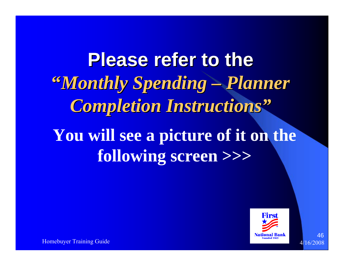**Please refer to the "Monthly Spending – Planner** *Completion Instructions Completion Instructions"* **You will see a picture of it on the following screen >>>**



Homebuyer Training Guide 4/16/2008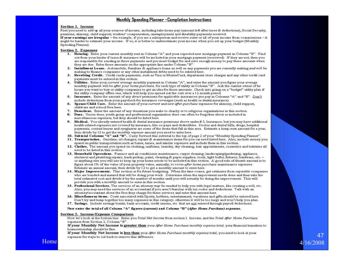#### Monthly Spending Planner -Completion Instructions

#### **Section 1. Income**

First you need to add up all your sources of income, including take-home pay (amount left after taxes & deductions), Social Security, pensions, alimony, child support, workers' compensation, unemployment and disability payments received.

If your earnings are irregular - for example, if you are a salesperson and receive some or all of your income from commissions - it might be harder to estimate your income. If so, it is better to underestimate your income when you set up your budget (Monthly Spending Planner).

#### **Section 2. Expenses**

- 1. Housing. Enter your current monthly rent in Column "A" and your expected new mortgage payment in Column "B". Find out from your lender if taxes & insurance will be included in your mortgage payment (escrowed). If they are not, then you are responsible for sending in these payments and you must budget for and save enough money to pay these amounts when they are due. Enter these amounts on the appropriate line under Column "B".
- 2. Installment Loans. Automobile, furniture & appliance loans as well as any payments you are currently making and will be making to finance companies or any other installment debts need to be entered here.
- 3. Revolving Credit. Credit cards payments, such as Visa or MasterCard, department store charges and any other credit card payments must be entered in this section.
- 4. Utilities. Enter your current average monthly payment in Column "A", and enter the amount you figure your average monthly payment will be after your home purchase, for each type of utility in Column "B". Ask the current owner of he house you want to buy or utility companies to get an idea for these amounts. Check into going on a "budget" utility plan if the utility company offers one, which will help you spread out the cost over a 12-month period.
- 5. Insurance. Enter the amount of any direct premiums for applicable insurances you pay in Columns "A" and "B". Don't include deductions from your paycheck for insurance coverages (such as health or dental insurance).
- 6. Spouse/Child Care. Enter the amount of your current and new after-purchase expenses for alimony, child support, childcare and school fees here.
- 7. Donations. Enter the amount of any donations you make to charity or to religious organizations in this section.
- 8. Dues. Union dues, youth group and professional organization dues can often be forgotten about or included in miscellaneous expenses, but they should be listed here.
- Medical. You already entered health & dental insurance premiums above under #5. Insurance, but you may have additional 9. health-related expenses not covered by insurance, like co-pays and deductibles. Doctor and dental bills, drugs, hospital payments, contact lenses and eyeglasses are some of the items that fall in this area. Estimate a lump-sum amount for a year, then divide by 12 to get the monthly expense amount you need to enter here.
- 10. Subtotal Columns "A" and "B". Carry forward this subtotal to the top of page 2 of your "Monthly Spending Planner".
- 11. Transportation. Gasoline, oil changes, repairs & maintenance items for you car need listed here. Also, include money you spend on public transportation such as buses, taxies, and similar expenses and include them in this section.
- 12. Clothes. The amount you spend on clothing, uniforms, laundry, dry cleaning, hair appointments, cosmetics and toiletries all need to be listed in this section.
- 13. Household Operations. Furnace and air conditioner maintenance; carpet cleaning; landscaping/gardening; appliance, electrical and plumbing repairs; trash pickup; paint; cleaning & paper supplies; tools; light bulbs; fixtures; hardware, etc. or anything else you will use to keep up your home needs to be included in this section. A good rule-of-thumb amount is to figure about 1% of the value of your property value, annually, to cover after home purchase maintenance expenses. Estimate an annual amount, then divide by 12 to get a monthly amount to enter here.
- 14. Major Improvements. This section is for future budgeting. When the time comes, get estimates from reputable companies who are bonded and insured that will be doing your work. Determine when the improvment needs done and then take the total estimated cost and divide it by the number of months until you will actually be doing the improvement. This will provide you with a monthly amount to enter in this section.
- 15. Professional Services. The services of an attorney may be needed to help you with legal matters, like creating a will, etc. Also, you may need the services of an accountant if you aren't familiar with tax codes and deductions. Talk with an attorney/accountant about the fees they charge for these services and enter that amount here.
- 16. Miscellaneous items. Costs associated with Sports, hobbies, entertainment, vacations and gifts should be entered here. Don't try and lump together too many expenses in this category; otherwise it will be too large and won't help you plan.
- 17. Savings. Include savings bonds, bank accounts, credit unions, etc. that are not entered through payroll deductions.

#### Now enter the total of all Column "A" figures (current) and Column "B" (After Home Purchase) expenses.

#### Section 3. Income/Expense Comparison

Now let's look at the bottom line. Enter you Total Net Income from section 1. Income, and the Total After Home Purchase expenses from Section 2, Column "B".

If your Monthly Net Income is greater than your After Home Purchase monthly expense total, your financial transition to homeownership should be fine.

47

If your Monthly Net Income is less than your After Home Purchase monthly expense total, you need to look at your expenses for ways to cut back to remove this difference.

#### Home  $4/16/2008$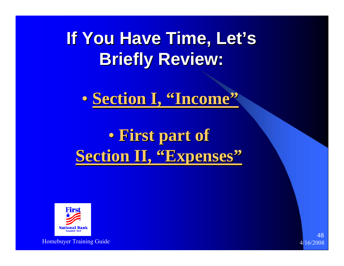**If You Have Time, Let's Briefly Review: Briefly Review:**

 $\bullet$ **• Section I, "Income"** 

 $\bullet$  **First part of First part of Section II, "Expenses"** 



Homebuyer Training Guide 4/16/2008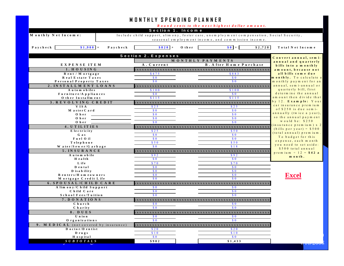| <b>MONTHLY SPENDING PLANNER</b>       |                                                                    |                                                                                                                                                                                                                                                                                                                                                                                                                                                                                                                                                                                             |                                                   |  |
|---------------------------------------|--------------------------------------------------------------------|---------------------------------------------------------------------------------------------------------------------------------------------------------------------------------------------------------------------------------------------------------------------------------------------------------------------------------------------------------------------------------------------------------------------------------------------------------------------------------------------------------------------------------------------------------------------------------------------|---------------------------------------------------|--|
|                                       |                                                                    | Round cents to the next highest dollar amount.                                                                                                                                                                                                                                                                                                                                                                                                                                                                                                                                              |                                                   |  |
|                                       | Section 1. Income                                                  |                                                                                                                                                                                                                                                                                                                                                                                                                                                                                                                                                                                             |                                                   |  |
| Monthly Net Income:                   |                                                                    | Include child support, alim ony, foster care, unemployment compensation, Social Security,                                                                                                                                                                                                                                                                                                                                                                                                                                                                                                   |                                                   |  |
|                                       |                                                                    | seasonal employment income, and commission income.                                                                                                                                                                                                                                                                                                                                                                                                                                                                                                                                          |                                                   |  |
|                                       |                                                                    |                                                                                                                                                                                                                                                                                                                                                                                                                                                                                                                                                                                             |                                                   |  |
| $$1,900 +$<br>Paycheck<br>Paycheck    | $$820 +$                                                           | $\boldsymbol{\mathsf{S}}\ \boldsymbol{\mathsf{0}}\ \boldsymbol{\mathsf{I}}\ =\ \boldsymbol{\mathsf{I}}\ \boldsymbol{\mathsf{S}}\ \boldsymbol{\mathsf{I}}\ \boldsymbol{\mathsf{I}}\ \boldsymbol{\mathsf{I}}\ \boldsymbol{\mathsf{I}}\ \boldsymbol{\mathsf{I}}\ \boldsymbol{\mathsf{I}}\ \boldsymbol{\mathsf{I}}\ \boldsymbol{\mathsf{I}}\ \boldsymbol{\mathsf{I}}\ \boldsymbol{\mathsf{I}}\ \boldsymbol{\mathsf{I}}\ \boldsymbol{\mathsf{I}}\ \boldsymbol{\mathsf{I}}\ \boldsymbol{\mathsf{I}}\ \boldsymbol{\mathsf{I}}\ \boldsymbol{\mathsf{I}}\ \boldsymbol{\mathsf{I$<br>\$2,720<br>Other | Total Net Income                                  |  |
|                                       | Section 2. Expenses                                                |                                                                                                                                                                                                                                                                                                                                                                                                                                                                                                                                                                                             | Convert annual, sem i-                            |  |
|                                       |                                                                    | MONTHLY PAYMENTS                                                                                                                                                                                                                                                                                                                                                                                                                                                                                                                                                                            | annual and quarterly                              |  |
| EXPENSE ITEM                          | A. Current                                                         | <b>B</b> . A fter H om e Purchase                                                                                                                                                                                                                                                                                                                                                                                                                                                                                                                                                           | bills into a monthly                              |  |
| 1. HOUSING                            |                                                                    |                                                                                                                                                                                                                                                                                                                                                                                                                                                                                                                                                                                             | am ount, because not                              |  |
| Rent / M ortgage                      | \$475                                                              | \$883                                                                                                                                                                                                                                                                                                                                                                                                                                                                                                                                                                                       | all bills come due                                |  |
| Real Estate Taxes                     | S <sub>0</sub>                                                     | S <sub>0</sub>                                                                                                                                                                                                                                                                                                                                                                                                                                                                                                                                                                              | m on thly. To calculate a                         |  |
| Personal Property Taxes               | $\bm{s}$ 0                                                         | $\bm{S}$ 0                                                                                                                                                                                                                                                                                                                                                                                                                                                                                                                                                                                  | monthly payment for an<br>annual, sem i-annual or |  |
| 2. INSTALLMENT LOANS<br>Automobiles   | \$100                                                              | \$100                                                                                                                                                                                                                                                                                                                                                                                                                                                                                                                                                                                       | quarterly bill, first                             |  |
| Furniture/Appliances                  | S <sub>0</sub>                                                     | $\bm{S}$ 0                                                                                                                                                                                                                                                                                                                                                                                                                                                                                                                                                                                  | determine the annual                              |  |
| O ther Installment                    | \$115                                                              | \$115                                                                                                                                                                                                                                                                                                                                                                                                                                                                                                                                                                                       | am ount then divide that                          |  |
| 3. REVOLVING CREDIT                   |                                                                    |                                                                                                                                                                                                                                                                                                                                                                                                                                                                                                                                                                                             | by 12. Example: Your                              |  |
| VISA                                  | \$25                                                               | \$25                                                                                                                                                                                                                                                                                                                                                                                                                                                                                                                                                                                        | car in surance prem ium                           |  |
| M aster C ard                         | $\boldsymbol{\mathsf{s}}\$                                         | $\bm{s}$ 0                                                                                                                                                                                                                                                                                                                                                                                                                                                                                                                                                                                  | of \$250 is due sem i-                            |  |
| Oher                                  | $\bm{s}$ 0                                                         | $\bm{S}$ 0                                                                                                                                                                                                                                                                                                                                                                                                                                                                                                                                                                                  | annually (twice a year),<br>so the annual payment |  |
| Oher<br>$O$ her                       | $\boldsymbol{\mathsf{s}}$ 0                                        | S <sub>0</sub>                                                                                                                                                                                                                                                                                                                                                                                                                                                                                                                                                                              | would be: $$250$                                  |  |
|                                       | S <sub>0</sub>                                                     | S <sub>0</sub>                                                                                                                                                                                                                                                                                                                                                                                                                                                                                                                                                                              | (insurance premium) x 2                           |  |
| 4. UTILITIES<br>Electricity           | \$25                                                               | \$50                                                                                                                                                                                                                                                                                                                                                                                                                                                                                                                                                                                        | $(b$ ills per year) = \$500                       |  |
| Gas                                   | $\boldsymbol{\mathsf{s}}$ 0                                        | $\boldsymbol{\mathsf{s}}$ 0                                                                                                                                                                                                                                                                                                                                                                                                                                                                                                                                                                 | (to tal annual) premium                           |  |
| Fuel Oil                              | $\boldsymbol{\mathsf{s}}$ 0                                        | S <sub>0</sub>                                                                                                                                                                                                                                                                                                                                                                                                                                                                                                                                                                              | To budget for this                                |  |
| Telephone                             | \$50                                                               | \$50                                                                                                                                                                                                                                                                                                                                                                                                                                                                                                                                                                                        | expense, each month                               |  |
| W ater/Sewer/G arbage                 | $\bm{s}$ 0                                                         | \$18                                                                                                                                                                                                                                                                                                                                                                                                                                                                                                                                                                                        | you need to set aside:<br>\$500 total annual      |  |
| 5. INSURANCE                          |                                                                    |                                                                                                                                                                                                                                                                                                                                                                                                                                                                                                                                                                                             | premium $\div$ 12 = \$42 a                        |  |
| Automobile                            | \$92                                                               | \$92                                                                                                                                                                                                                                                                                                                                                                                                                                                                                                                                                                                        | m on th.                                          |  |
| H ealth                               | $\boldsymbol{\mathsf{s}}$ 0                                        | $\boldsymbol{\mathsf{s}}\$ 0                                                                                                                                                                                                                                                                                                                                                                                                                                                                                                                                                                |                                                   |  |
| Life<br>Dental                        | \$70<br>S <sub>0</sub>                                             | \$70<br>S <sub>0</sub>                                                                                                                                                                                                                                                                                                                                                                                                                                                                                                                                                                      |                                                   |  |
| D is a b ility                        | S <sub>0</sub>                                                     | S <sub>0</sub>                                                                                                                                                                                                                                                                                                                                                                                                                                                                                                                                                                              |                                                   |  |
| Renters/Homeowners                    | S <sub>0</sub>                                                     | S <sub>0</sub>                                                                                                                                                                                                                                                                                                                                                                                                                                                                                                                                                                              | <b>Excel</b>                                      |  |
| M ortgage Credit Life                 | S <sub>0</sub>                                                     | S <sub>0</sub>                                                                                                                                                                                                                                                                                                                                                                                                                                                                                                                                                                              |                                                   |  |
| 6. SPOUSAL/CHILD CARE                 |                                                                    |                                                                                                                                                                                                                                                                                                                                                                                                                                                                                                                                                                                             |                                                   |  |
| A lim on y/C hild Support             | $\boldsymbol{\mathsf{S}}\boldsymbol{\mathsf{0}}$                   | $\boldsymbol{\mathsf{s}}\$ 0                                                                                                                                                                                                                                                                                                                                                                                                                                                                                                                                                                |                                                   |  |
| Child Care                            | $\boldsymbol{\mathsf{s}}\$                                         | $\boldsymbol{\mathsf{s}}$ 0                                                                                                                                                                                                                                                                                                                                                                                                                                                                                                                                                                 |                                                   |  |
| School Fees/Tuition                   | S <sub>0</sub>                                                     | $\Omega$                                                                                                                                                                                                                                                                                                                                                                                                                                                                                                                                                                                    |                                                   |  |
| 7. DONATIONS                          |                                                                    |                                                                                                                                                                                                                                                                                                                                                                                                                                                                                                                                                                                             |                                                   |  |
| Church                                | $\boldsymbol{\mathsf{S}}\boldsymbol{\mathsf{0}}$<br>S <sub>0</sub> | $\bm{s}$ 0<br>S <sub>0</sub>                                                                                                                                                                                                                                                                                                                                                                                                                                                                                                                                                                |                                                   |  |
| Charity                               |                                                                    |                                                                                                                                                                                                                                                                                                                                                                                                                                                                                                                                                                                             |                                                   |  |
| 8. DUES<br>Union                      | $\bm{s}$ 0                                                         | $\bm{s}$ 0                                                                                                                                                                                                                                                                                                                                                                                                                                                                                                                                                                                  |                                                   |  |
| O rganizations                        | S <sub>0</sub>                                                     | S <sub>0</sub>                                                                                                                                                                                                                                                                                                                                                                                                                                                                                                                                                                              |                                                   |  |
| 9. MEDICAL (not covered by insurance) |                                                                    |                                                                                                                                                                                                                                                                                                                                                                                                                                                                                                                                                                                             |                                                   |  |
| Doctor/Dentist                        | \$20                                                               | \$20                                                                                                                                                                                                                                                                                                                                                                                                                                                                                                                                                                                        |                                                   |  |
| $D$ rugs                              | \$10                                                               | \$10                                                                                                                                                                                                                                                                                                                                                                                                                                                                                                                                                                                        |                                                   |  |
| H ospital                             | S <sub>0</sub>                                                     | S <sub>0</sub>                                                                                                                                                                                                                                                                                                                                                                                                                                                                                                                                                                              |                                                   |  |
| SUBTOTALS                             | \$982                                                              | \$1,433                                                                                                                                                                                                                                                                                                                                                                                                                                                                                                                                                                                     |                                                   |  |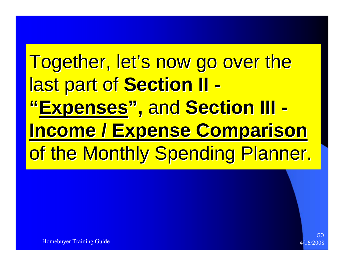# Together, let's now go over the **last part of Section II -"Expenses", and Section III -Income / Expense Comparison** of the Monthly Spending Planner.

Homebuyer Training Guide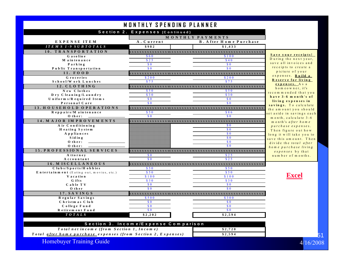#### MONTHLY SPENDING PLANNER

| Section 2. Expenses (Continued)                      |                                                    |                                                    |                                      |  |
|------------------------------------------------------|----------------------------------------------------|----------------------------------------------------|--------------------------------------|--|
|                                                      |                                                    |                                                    |                                      |  |
| EXPENSE ITEM                                         | A. Current                                         | MONTHLY PAYMENTS<br><b>B.</b> A fter Home Purchase |                                      |  |
| $ITEM S I-9 SUBTOTALS$                               | \$982                                              | \$1,433                                            |                                      |  |
| 10. TRANSPORTATION                                   |                                                    |                                                    |                                      |  |
| Gasoline                                             | \$60                                               | \$100                                              | Save vour receipts!                  |  |
| M aintenance                                         | \$25                                               | \$40                                               | During the next year,                |  |
| Parking                                              | $\boldsymbol{\mathsf{s}}\ \boldsymbol{\mathsf{0}}$ | $\boldsymbol{\mathsf{S}}\ \boldsymbol{\mathsf{0}}$ | save all invoices and                |  |
| Public Transportation                                | $\Omega$                                           | $\Omega$                                           | receipts to create a                 |  |
| $11.$ FOOD                                           |                                                    |                                                    | picture of your<br>expenses. Build a |  |
| Groceries                                            | \$200                                              | \$200                                              | Reserve for living                   |  |
| School/W ork Lunches                                 | \$75                                               | \$75                                               | expenses. As a                       |  |
| 12. CLOTHING                                         |                                                    |                                                    | homeowner, it's                      |  |
| New Clothes                                          | \$50                                               | \$50                                               | recommended that you                 |  |
| Dry Cleaning/Laundry                                 | \$30                                               | \$30                                               | have 3-6 month's of                  |  |
| Uniform s/R equired Items                            | $\sqrt{0}$                                         | $\sqrt{0}$                                         | living expenses in                   |  |
| Personal Care                                        | $\sqrt{3}0$                                        | $\sqrt{0}$                                         | savings. To calculate                |  |
| 13. HOUSEHOLD OPERATIONS                             |                                                    |                                                    | the amount you should                |  |
| Reppairs/Maintenance                                 | \$50                                               | \$86                                               | set aside in savings each            |  |
| O ther:                                              | $\boldsymbol{\mathsf{s}}\ \boldsymbol{\mathsf{0}}$ | S <sub>0</sub>                                     | month, calculate 3-6                 |  |
| 14. MAJOR IMPROVEMENTS                               |                                                    |                                                    | month's after home                   |  |
| Air Conditioning                                     |                                                    | $\boldsymbol{\mathsf{S}}\ \boldsymbol{\mathsf{0}}$ | purchase expenses.                   |  |
| Heating System                                       |                                                    | $\sqrt{0}$                                         | Then figure out how                  |  |
| A ppliances                                          |                                                    | $\boldsymbol{\mathsf{S}}$ 0                        | long it will take you to             |  |
| Siding                                               |                                                    | $\sqrt{3}0$                                        | save this amount. Then               |  |
| $O$ ther:                                            |                                                    | $\boldsymbol{\mathsf{s}}$ 0                        | divide the total after               |  |
| $O$ ther:                                            |                                                    | $\boldsymbol{\mathsf{s}}\$                         | home purchase living                 |  |
| 15. PROFESSIONAL SERVICES                            |                                                    |                                                    | expenses by that                     |  |
| A ttorney                                            | $\sqrt{6}$                                         | \$25                                               | number of months.                    |  |
| Accountant                                           | $\Omega$                                           | \$25                                               |                                      |  |
| 16. MISCELLANEOUS                                    |                                                    |                                                    |                                      |  |
| Clubs/Sports/Hobbies                                 | \$50                                               | \$50                                               |                                      |  |
| Entertainment (Eating out, movies, etc.)<br>Vacation | \$50<br>\$100                                      | \$50<br>\$100                                      | <b>Excel</b>                         |  |
| G ifts                                               | \$30                                               | \$30                                               |                                      |  |
| Cable TV                                             | $\boldsymbol{\mathsf{s}}\ \boldsymbol{\mathsf{0}}$ | $\boldsymbol{\mathsf{S}}\boldsymbol{\mathsf{0}}$   |                                      |  |
| O ther                                               | $\sqrt{6}$                                         | $\sqrt{3}0$                                        |                                      |  |
| 17. SAVINGS                                          |                                                    |                                                    |                                      |  |
| Regular Savings                                      | \$500                                              | \$300                                              |                                      |  |
| Christmas Club                                       | $\boldsymbol{\mathsf{s}}\ \boldsymbol{\mathsf{0}}$ | $\sqrt{0}$                                         |                                      |  |
| College Fund                                         | \$0                                                | \$0                                                |                                      |  |
| Retirement Fund                                      | $\boldsymbol{\mathsf{s}}$ 0                        | $\boldsymbol{\mathsf{s}}$ 0                        |                                      |  |
| TOTALS                                               | \$2, 202                                           | \$2,594                                            |                                      |  |
|                                                      |                                                    |                                                    |                                      |  |
|                                                      |                                                    |                                                    |                                      |  |

| Section 3. Income/Expense Comparison                          |         |  |  |
|---------------------------------------------------------------|---------|--|--|
| Total net income (from Section 1, Income)                     | \$2.720 |  |  |
| Total after home purchase expenses (from Section 2, Expenses) | \$2.594 |  |  |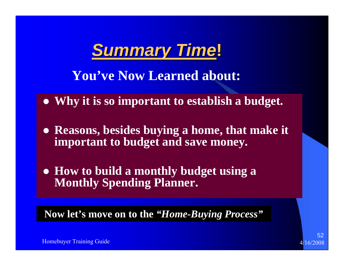

**You've Now Learned about:**

- Why it is so important to establish a budget.
- **Reasons, besides buying a home, that make it important to budget and save money.**
- z **How to build a monthly budget using a Monthly Spending Planner.**

**Now let's move on to the** *"Home-Buying Process"*



Homebuyer Training Guide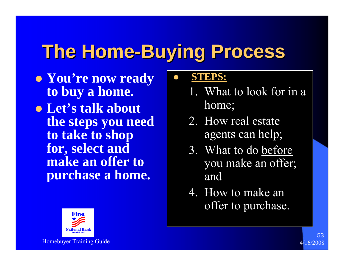## **The Home-Buying Process**

 $\bullet$ 

- **You're now ready to buy a home.**
- **Let's talk about the steps you need to take to shop for, select and make an offer to purchase a home.**

### **STEPS:**

- 1. What to look for in a home;
- 2. How real estate agents can help;
- 3. What to do before you make an offer; and
- 4. How to make an offer to purchase.



Homebuyer Training Guide 4/16/2008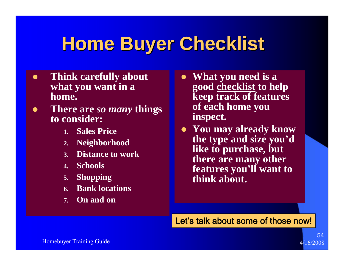### **Home Buyer Checklist Home Buyer Checklist**

- $\bullet$  **Think carefully about what you want in a home.**
- $\bullet$  **There are** *so many* **things to consider:**
	- **1. Sales Price**
	- **2. Neighborhood**
	- **3. Distance to work**
	- **4. Schools**
	- **5. Shopping**
	- **6. Bank locations**
	- **7. On and on**
- What you need is a **good checklist to help keep track of features of each home you inspect.**
- **You may already know the type and size you'd like to purchase, but there are many other features you'll want to think about.**

Let's talk about some of those now!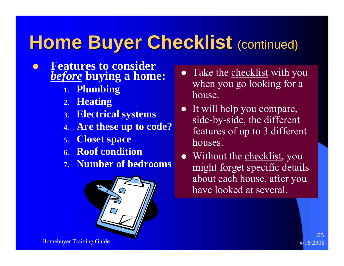### **Home Buyer Checklist (continued)**

#### $\bullet$  **Features to consider**  *before* **buying a home:**

- **1. Plumbing**
- **2. Heating**
- **3. Electrical systems**
- **4. Are these up to code?**
- **5. Closet space**
- **6. Roof condition**
- **7. Number of bedrooms**



- Take the checklist with you when you go looking for a house.
- $\bullet$  It will help you compare, side-by-side, the different features of up to 3 different houses.
- $\bullet$ Without the checklist, you might forget specific details about each house, after you have looked at several.

Homebuyer Training Guide 4/16/2008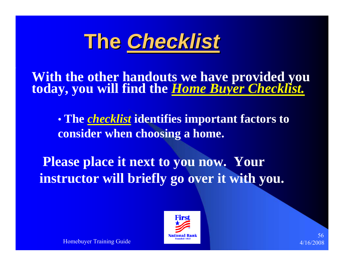

**With the other handouts we have provided you today, you will find the** *Home Buyer Checklist.*

 $\bullet$  **The** *checklist* **identifies important factors to consider when choosing a home.**

**Please place it next to you now. Your instructor will briefly go over it with you.**



56

Homebuyer Training Guide 4/16/2008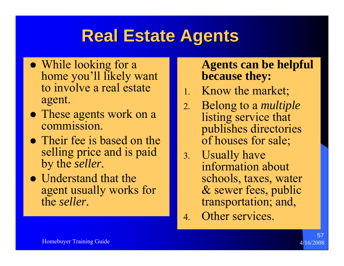### **Real Estate Agents Real Estate Agents**

- While looking for a home you'll likely want to involve a real estate agent.
- These agents work on a commission.
- Their fee is based on the selling price and is paid by the *seller.*
- $\bullet$  Understand that the agent usually works for the *seller.*

### **Agents can be helpful because they:**

- 1. Know the market;
- 2. Belong to a *multiple*  listing service that publishes directories of houses for sale;
- 3. Usually have information about schools, taxes, water & sewer fees, public transportation; and,
- 4. Other services.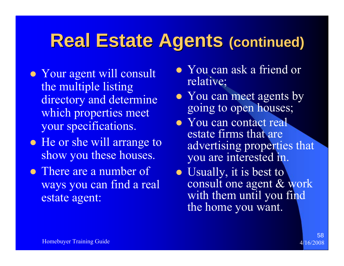### **Real Estate Agents (continued)**

- Your agent will consult the multiple listing directory and determine which properties meet your specifications.
- He or she will arrange to show you these houses.
- There are a number of ways you can find a real estate agent:
- You can ask a friend or relative;
- You can meet agents by going to open houses;
- You can contact real estate firms that are advertising properties that you are interested in.
- Usually, it is best to consult one agent & work with them until you find the home you want.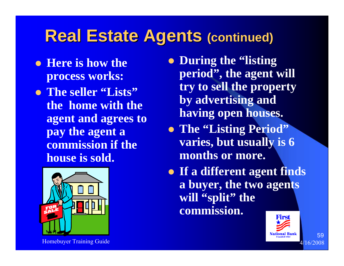### **Real Estate Agents (continued)**

- **Here is how the process works:**
- z **The seller "Lists" the home with the agent and agrees to pay the agent a commission if the house is sold.**



Homebuyer Training Guide 4/16/2008

- **During the "listing" period", the agent will try to sell the property by advertising and having open houses.**
- z **The "Listing Period" varies, but usually is 6 months or more.**
- **If a different agent finds a buyer, the two agents will "split" the commission.**

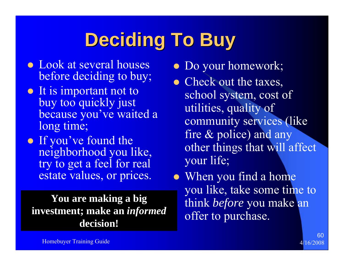# **Deciding To Buy Deciding To Buy**

- Look at several houses before deciding to buy;
- It is important not to buy too quickly just because you've waited a long time;
- If you've found the neighborhood you like, try to get a feel for real estate values, or prices.

**You are making a big investment; make an** *informed*  **decision!**

- Do your homework;
- Check out the taxes, school system, cost of utilities, quality of community services (like fire & police) and any other things that will affect your life;
- When you find a home you like, take some time to think *before* you make an offer to purchase.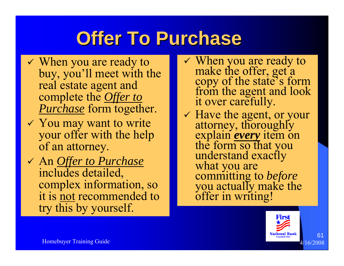## **Offer To Purchase**

- $\checkmark$  When you are ready to buy, you'll meet with the real estate agent and complete the *Offer to Purchase* form together.
- $\checkmark$  You may want to write your offer with the help of an attorney.
- 9 An *Offer to Purchase* includes detailed, complex information, so it is not recommended to try this by yourself.
- $\checkmark$  When you are ready to make the offer, get a<br>copy of the state's form<br>from the agent and look<br>it over carefully.
- 9 Have the agent, or your attorney, thoroughly explain *every* item on the form so that you understand exactly what you are committing to *before* committing to *before*<br>you actually make the<br>offer in writing!

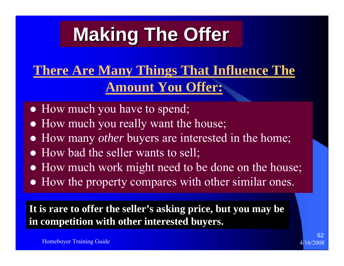# **Making The Offer Making The Offer**

### **There Are Many Things That Influence The Amount You Offer:**

- How much you have to spend;
- How much you really want the house;
- $\bullet$ How many *other* buyers are interested in the home;
- $\bullet$ How bad the seller wants to sell;
- How much work might need to be done on the house;
- How the property compares with other similar ones.

**It is rare to offer the seller's asking price, but you may be in competition with other interested buyers.**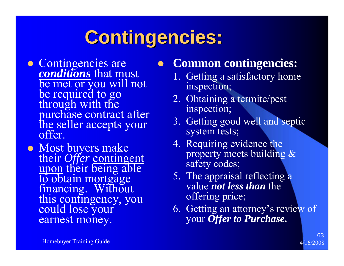# **Contingencies: Contingencies:**

 $\bullet$ 

- **Example 2** Contingencies are<br>*conditions* that mu conditions that must be met or you will not<br>be required to go<br>through with the<br>purchase contract after<br>the seller accepts your<br>offer.
- Most buyers make their *Offer* contingent<br>upon their being able to obtain mortgage<br>financing. Without<br>this contingency, you<br>could lose your earnest money.

### **Common contingencies:**

- 1. Getting a satisfactory home inspection;
- 2. Obtaining a termite/pest inspection;
- 3. Getting good well and septic system tests;
- 4. Requiring evidence the property meets building & safety codes;
- 5. The appraisal reflecting a value *not less than* the offering price;
- 6. Getting an attorney's review of your *Offer to Purchase.*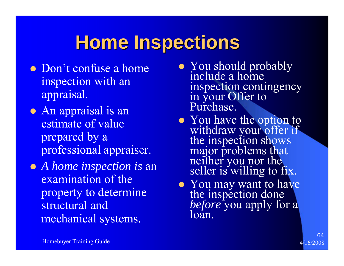### **Home Inspections Home Inspections**

- Don't confuse a home inspection with an appraisal.
- An appraisal is an estimate of value prepared by a professional appraiser.
- z *A home inspection is* an examination of the property to determine structural and mechanical systems.
- You should probably include a home inspection contingency in your Offer to Purchase.
- You have the option to withdraw your offer if<br>the inspection shows<br>major problems that<br>neither you nor the<br>seller is willing to fix.
- You may want to have<br>the inspection done<br>*before* you apply for a<br>loan.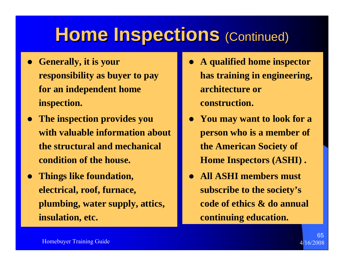### **Home Inspections (Continued)**

- **•** Generally, it is your **responsibility as buyer to pay for an independent home inspection.**
- $\bullet$  **The inspection provides you with valuable information about the structural and mechanical condition of the house.**
- $\bullet$  **Things like foundation, electrical, roof, furnace, plumbing, water supply, attics, insulation, etc.**
- $\bullet$  **A qualified home inspector has training in engineering, architecture or construction.**
- $\bullet$  **You may want to look for a person who is a member of the American Society of Home Inspectors (ASHI) .**
- $\bullet$  **All ASHI members must subscribe to the society's code of ethics & do annual continuing education.**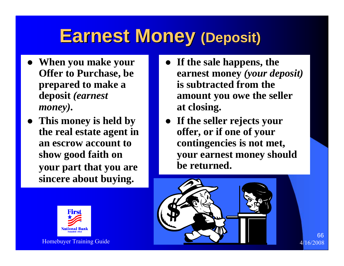### **Earnest Money (Deposit)**

- z **When you make your Offer to Purchase, be prepared to make a deposit** *(earnest money).*
- **This money is held by the real estate agent in an escrow account to show good faith on your part that you are sincere about buying.**



- $\bullet$  **If the sale happens, the earnest money** *(your deposit)* **is subtracted from the amount you owe the seller at closing.**
- $\bullet$  **If the seller rejects your offer, or if one of your contingencies is not met, your earnest money should be returned.**

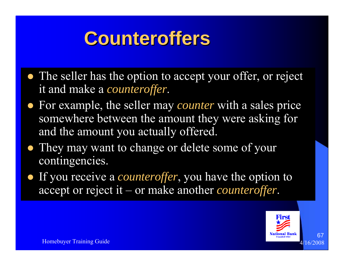### **Counteroffers Counteroffers**

- The seller has the option to accept your offer, or reject it and make a *counteroffer*.
- For example, the seller may *counter* with a sales price somewhere between the amount they were asking for and the amount you actually offered.
- They may want to change or delete some of your contingencies.
- If you receive a *counteroffer*, you have the option to accept or reject it – or make another *counteroffer*.